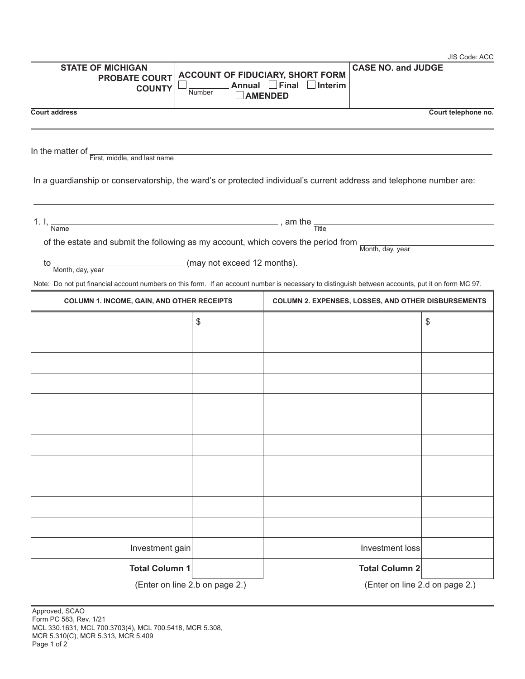|                                                                                                                                                   |                             |                                                                                          |                           | JIS Code: ACC       |
|---------------------------------------------------------------------------------------------------------------------------------------------------|-----------------------------|------------------------------------------------------------------------------------------|---------------------------|---------------------|
| <b>STATE OF MICHIGAN</b><br><b>PROBATE COURT</b><br><b>COUNTY</b>                                                                                 | Annual L<br>Number          | <b>ACCOUNT OF FIDUCIARY, SHORT FORM</b><br>$\Box$ Final $\Box$ Interim<br><b>AMENDED</b> | <b>CASE NO. and JUDGE</b> |                     |
| <b>Court address</b>                                                                                                                              |                             |                                                                                          |                           | Court telephone no. |
|                                                                                                                                                   |                             |                                                                                          |                           |                     |
| In the matter of                                                                                                                                  |                             |                                                                                          |                           |                     |
| First, middle, and last name                                                                                                                      |                             |                                                                                          |                           |                     |
| In a guardianship or conservatorship, the ward's or protected individual's current address and telephone number are:                              |                             |                                                                                          |                           |                     |
| 1. I, $\frac{1}{\text{Name}}$ , am the $\frac{1}{\text{Title}}$                                                                                   |                             |                                                                                          |                           |                     |
| of the estate and submit the following as my account, which covers the period from $\frac{1}{\text{Month, day, year}}$                            |                             |                                                                                          |                           |                     |
| to.                                                                                                                                               | (may not exceed 12 months). |                                                                                          |                           |                     |
| Month, day, year                                                                                                                                  |                             |                                                                                          |                           |                     |
| Note: Do not put financial account numbers on this form. If an account number is necessary to distinguish between accounts, put it on form MC 97. |                             |                                                                                          |                           |                     |
| <b>COLUMN 1. INCOME, GAIN, AND OTHER RECEIPTS</b>                                                                                                 |                             | <b>COLUMN 2. EXPENSES, LOSSES, AND OTHER DISBURSEMENTS</b>                               |                           |                     |
|                                                                                                                                                   | \$                          |                                                                                          |                           | \$                  |
|                                                                                                                                                   |                             |                                                                                          |                           |                     |
|                                                                                                                                                   |                             |                                                                                          |                           |                     |
|                                                                                                                                                   |                             |                                                                                          |                           |                     |
|                                                                                                                                                   |                             |                                                                                          |                           |                     |
|                                                                                                                                                   |                             |                                                                                          |                           |                     |
|                                                                                                                                                   |                             |                                                                                          |                           |                     |
|                                                                                                                                                   |                             |                                                                                          |                           |                     |
|                                                                                                                                                   |                             |                                                                                          |                           |                     |
|                                                                                                                                                   |                             |                                                                                          |                           |                     |
|                                                                                                                                                   |                             |                                                                                          |                           |                     |
|                                                                                                                                                   |                             |                                                                                          |                           |                     |
|                                                                                                                                                   |                             |                                                                                          |                           |                     |
| Investment gain                                                                                                                                   |                             |                                                                                          | Investment loss           |                     |
| <b>Total Column 1</b>                                                                                                                             |                             |                                                                                          | <b>Total Column 2</b>     |                     |
| (Enter on line 2.b on page 2.)                                                                                                                    |                             | (Enter on line 2.d on page 2.)                                                           |                           |                     |